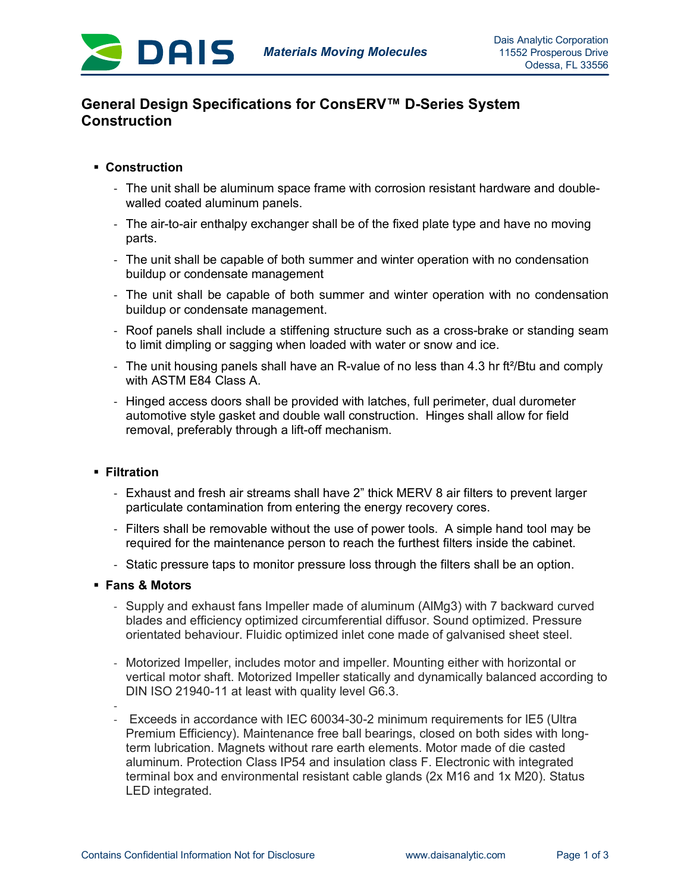

# **General Design Specifications for ConsERV™ D-Series System Construction**

## § **Construction**

- The unit shall be aluminum space frame with corrosion resistant hardware and doublewalled coated aluminum panels.
- The air-to-air enthalpy exchanger shall be of the fixed plate type and have no moving parts.
- The unit shall be capable of both summer and winter operation with no condensation buildup or condensate management
- The unit shall be capable of both summer and winter operation with no condensation buildup or condensate management.
- Roof panels shall include a stiffening structure such as a cross-brake or standing seam to limit dimpling or sagging when loaded with water or snow and ice.
- The unit housing panels shall have an R-value of no less than 4.3 hr ft<sup>2</sup>/Btu and comply with ASTM E84 Class A.
- Hinged access doors shall be provided with latches, full perimeter, dual durometer automotive style gasket and double wall construction. Hinges shall allow for field removal, preferably through a lift-off mechanism.

### § **Filtration**

- Exhaust and fresh air streams shall have 2" thick MERV 8 air filters to prevent larger particulate contamination from entering the energy recovery cores.
- Filters shall be removable without the use of power tools. A simple hand tool may be required for the maintenance person to reach the furthest filters inside the cabinet.
- Static pressure taps to monitor pressure loss through the filters shall be an option.

### § **Fans & Motors**

- Supply and exhaust fans Impeller made of aluminum (AlMg3) with 7 backward curved blades and efficiency optimized circumferential diffusor. Sound optimized. Pressure orientated behaviour. Fluidic optimized inlet cone made of galvanised sheet steel.
- Motorized Impeller, includes motor and impeller. Mounting either with horizontal or vertical motor shaft. Motorized Impeller statically and dynamically balanced according to DIN ISO 21940-11 at least with quality level G6.3.
- - Exceeds in accordance with IEC 60034-30-2 minimum requirements for IE5 (Ultra Premium Efficiency). Maintenance free ball bearings, closed on both sides with longterm lubrication. Magnets without rare earth elements. Motor made of die casted aluminum. Protection Class IP54 and insulation class F. Electronic with integrated terminal box and environmental resistant cable glands (2x M16 and 1x M20). Status LED integrated.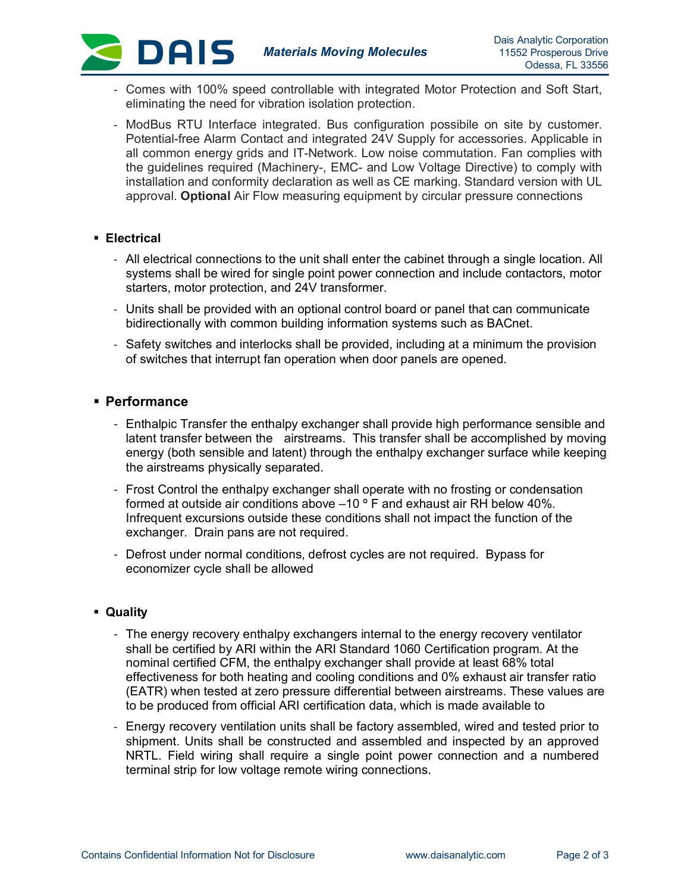

- Comes with 100% speed controllable with integrated Motor Protection and Soft Start, eliminating the need for vibration isolation protection.
- ModBus RTU Interface integrated. Bus configuration possibile on site by customer. Potential-free Alarm Contact and integrated 24V Supply for accessories. Applicable in all common energy grids and IT-Network. Low noise commutation. Fan complies with the guidelines required (Machinery-, EMC- and Low Voltage Directive) to comply with installation and conformity declaration as well as CE marking. Standard version with UL approval. **Optional** Air Flow measuring equipment by circular pressure connections

#### § **Electrical**

**DAIS** 

- All electrical connections to the unit shall enter the cabinet through a single location. All systems shall be wired for single point power connection and include contactors, motor starters, motor protection, and 24V transformer.
- Units shall be provided with an optional control board or panel that can communicate bidirectionally with common building information systems such as BACnet.
- Safety switches and interlocks shall be provided, including at a minimum the provision of switches that interrupt fan operation when door panels are opened.

### § **Performance**

- Enthalpic Transfer the enthalpy exchanger shall provide high performance sensible and latent transfer between the airstreams. This transfer shall be accomplished by moving energy (both sensible and latent) through the enthalpy exchanger surface while keeping the airstreams physically separated.
- Frost Control the enthalpy exchanger shall operate with no frosting or condensation formed at outside air conditions above  $-10$  ° F and exhaust air RH below 40%. Infrequent excursions outside these conditions shall not impact the function of the exchanger. Drain pans are not required.
- Defrost under normal conditions, defrost cycles are not required. Bypass for economizer cycle shall be allowed

#### § **Quality**

- The energy recovery enthalpy exchangers internal to the energy recovery ventilator shall be certified by ARI within the ARI Standard 1060 Certification program. At the nominal certified CFM, the enthalpy exchanger shall provide at least 68% total effectiveness for both heating and cooling conditions and 0% exhaust air transfer ratio (EATR) when tested at zero pressure differential between airstreams. These values are to be produced from official ARI certification data, which is made available to
- Energy recovery ventilation units shall be factory assembled, wired and tested prior to shipment. Units shall be constructed and assembled and inspected by an approved NRTL. Field wiring shall require a single point power connection and a numbered terminal strip for low voltage remote wiring connections.